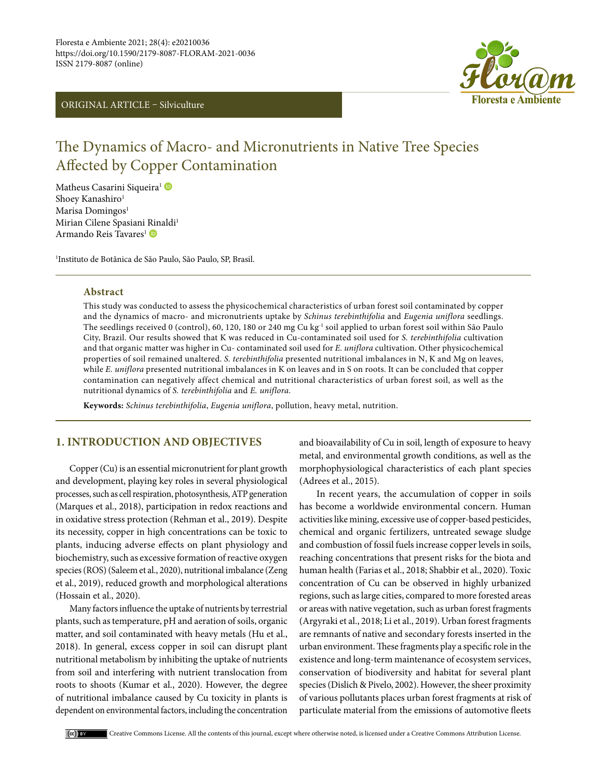ORIGINAL ARTICLE – Silviculture



# The Dynamics of Macro- and Micronutrients in Native Tree Species Affected by Copper Contamination

Matheus Casarini Siqueira<sup>1</sup> Shoey Kanashiro<sup>1</sup> Marisa Domingos<sup>1</sup> Mirian Cilene Spasiani [Rin](https://orcid.org/0000-0001-6006-4741)aldi<sup>1</sup> Armando Reis Tavares<sup>1</sup> D

1 Instituto de Botânica de São Paulo, São Paulo, SP, Brasil.

### **Abstract**

This study was conducted to assess the physicochemical characteristics of urban forest soil contaminated by copper and the dynamics of macro- and micronutrients uptake by *Schinus terebinthifolia* and *Eugenia uniflora* seedlings. The seedlings received 0 (control), 60, 120, 180 or 240 mg Cu kg<sup>-1</sup> soil applied to urban forest soil within São Paulo City, Brazil. Our results showed that K was reduced in Cu-contaminated soil used for *S. terebinthifolia* cultivation and that organic matter was higher in Cu- contaminated soil used for *E. uniflora* cultivation. Other physicochemical properties of soil remained unaltered. *S. terebinthifolia* presented nutritional imbalances in N, K and Mg on leaves, while *E. uniflora* presented nutritional imbalances in K on leaves and in S on roots. It can be concluded that copper contamination can negatively affect chemical and nutritional characteristics of urban forest soil, as well as the nutritional dynamics of *S. terebinthifolia* and *E. uniflora*.

**Keywords:** *Schinus terebinthifolia*, *Eugenia uniflora*, pollution, heavy metal, nutrition.

# **1. INTRODUCTION AND OBJECTIVES**

Copper (Cu) is an essential micronutrient for plant growth and development, playing key roles in several physiological processes, such as cell respiration, photosynthesis, ATP generation (Marques et al., 2018), participation in redox reactions and in oxidative stress protection (Rehman et al., 2019). Despite its necessity, copper in high concentrations can be toxic to plants, inducing adverse effects on plant physiology and biochemistry, such as excessive formation of reactive oxygen species (ROS) (Saleem et al., 2020), nutritional imbalance (Zeng et al., 2019), reduced growth and morphological alterations (Hossain et al., 2020).

Many factors influence the uptake of nutrients by terrestrial plants, such as temperature, pH and aeration of soils, organic matter, and soil contaminated with heavy metals (Hu et al., 2018). In general, excess copper in soil can disrupt plant nutritional metabolism by inhibiting the uptake of nutrients from soil and interfering with nutrient translocation from roots to shoots (Kumar et al., 2020). However, the degree of nutritional imbalance caused by Cu toxicity in plants is dependent on environmental factors, including the concentration and bioavailability of Cu in soil, length of exposure to heavy metal, and environmental growth conditions, as well as the morphophysiological characteristics of each plant species (Adrees et al., 2015).

 In recent years, the accumulation of copper in soils has become a worldwide environmental concern. Human activities like mining, excessive use of copper-based pesticides, chemical and organic fertilizers, untreated sewage sludge and combustion of fossil fuels increase copper levels in soils, reaching concentrations that present risks for the biota and human health (Farias et al., 2018; Shabbir et al., 2020). Toxic concentration of Cu can be observed in highly urbanized regions, such as large cities, compared to more forested areas or areas with native vegetation, such as urban forest fragments (Argyraki et al., 2018; Li et al., 2019). Urban forest fragments are remnants of native and secondary forests inserted in the urban environment. These fragments play a specific role in the existence and long-term maintenance of ecosystem services, conservation of biodiversity and habitat for several plant species (Dislich & Pivelo, 2002). However, the sheer proximity of various pollutants places urban forest fragments at risk of particulate material from the emissions of automotive fleets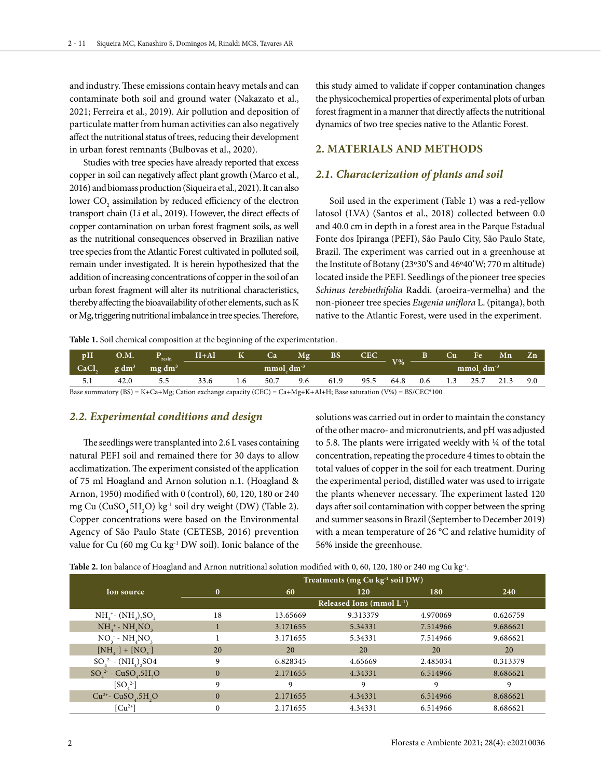and industry. These emissions contain heavy metals and can contaminate both soil and ground water (Nakazato et al., 2021; Ferreira et al., 2019). Air pollution and deposition of particulate matter from human activities can also negatively affect the nutritional status of trees, reducing their development in urban forest remnants (Bulbovas et al., 2020).

Studies with tree species have already reported that excess copper in soil can negatively affect plant growth (Marco et al., 2016) and biomass production (Siqueira et al., 2021). It can also lower  $\mathrm{CO}_2$  assimilation by reduced efficiency of the electron transport chain (Li et al., 2019). However, the direct effects of copper contamination on urban forest fragment soils, as well as the nutritional consequences observed in Brazilian native tree species from the Atlantic Forest cultivated in polluted soil, remain under investigated. It is herein hypothesized that the addition of increasing concentrations of copper in the soil of an urban forest fragment will alter its nutritional characteristics, thereby affecting the bioavailability of other elements, such as K or Mg, triggering nutritional imbalance in tree species. Therefore,

this study aimed to validate if copper contamination changes the physicochemical properties of experimental plots of urban forest fragment in a manner that directly affects the nutritional dynamics of two tree species native to the Atlantic Forest.

# **2. MATERIALS AND METHODS**

# *2.1. Characterization of plants and soil*

Soil used in the experiment (Table 1) was a red-yellow latosol (LVA) (Santos et al., 2018) collected between 0.0 and 40.0 cm in depth in a forest area in the Parque Estadual Fonte dos Ipiranga (PEFI), São Paulo City, São Paulo State, Brazil. The experiment was carried out in a greenhouse at the Institute of Botany (23º30'S and 46º40'W; 770 m altitude) located inside the PEFI. Seedlings of the pioneer tree species *Schinus terebinthifolia* Raddi. (aroeira-vermelha) and the non-pioneer tree species *Eugenia uniflora* L. (pitanga), both native to the Atlantic Forest, were used in the experiment.

**Table 1.** Soil chemical composition at the beginning of the experimentation.

| pH                                                                                                                                                                                                                                                                                                                                                                                    | $\overline{\text{O.M.}}$ | resin        | $H + Al$ |     | Ca <sub>2</sub>         | Mg  | <b>BS</b> | <b>CEC</b> |       |     | Cu  | Fe             | Мn   | Zn  |
|---------------------------------------------------------------------------------------------------------------------------------------------------------------------------------------------------------------------------------------------------------------------------------------------------------------------------------------------------------------------------------------|--------------------------|--------------|----------|-----|-------------------------|-----|-----------|------------|-------|-----|-----|----------------|------|-----|
| CaCl.                                                                                                                                                                                                                                                                                                                                                                                 | $\log dm^3$              | $mg \, dm^3$ |          |     | $mmol$ dm <sup>-3</sup> |     |           |            | $V\%$ |     |     | mmol $dm^{-3}$ |      |     |
| 5.1                                                                                                                                                                                                                                                                                                                                                                                   |                          |              | 33.6     | 1.6 | 50.7                    | 9.6 | 61.9      | 95.5       | 64.8  | 0.6 | 1.3 | 25.7           | 21.3 | 9.0 |
| $\overline{D}$ ( $\overline{D}$ ) $\overline{U}$ , $\overline{O}$ , $\overline{M}$ , $\overline{O}$ , $\overline{U}$ , $\overline{1}$ ( $\overline{C}$ , $\overline{O}$ ) $\overline{O}$ , $\overline{O}$ , $\overline{O}$ , $\overline{O}$ , $\overline{O}$ , $\overline{O}$ , $\overline{V}$ , $\overline{A}$ , $\overline{U}$ , $\overline{A}$ , $\overline{U}$ , $\overline{A}$ , |                          |              |          |     |                         |     |           |            |       |     |     |                |      |     |

Base summatory (BS) = K+Ca+Mg; Cation exchange capacity (CEC) = Ca+Mg+K+Al+H; Base saturation (V%) = BS/CEC\*100

### *2.2. Experimental conditions and design*

The seedlings were transplanted into 2.6 L vases containing natural PEFI soil and remained there for 30 days to allow acclimatization. The experiment consisted of the application of 75 ml Hoagland and Arnon solution n.1. (Hoagland & Arnon, 1950) modified with 0 (control), 60, 120, 180 or 240 mg Cu (CuSO<sub>4</sub><sup>5</sup>H<sub>2</sub>O) kg<sup>-1</sup> soil dry weight (DW) (Table 2). Copper concentrations were based on the Environmental Agency of São Paulo State (CETESB, 2016) prevention value for Cu (60 mg Cu kg<sup>-1</sup> DW soil). Ionic balance of the solutions was carried out in order to maintain the constancy of the other macro- and micronutrients, and pH was adjusted to 5.8. The plants were irrigated weekly with ¼ of the total concentration, repeating the procedure 4 times to obtain the total values of copper in the soil for each treatment. During the experimental period, distilled water was used to irrigate the plants whenever necessary. The experiment lasted 120 days after soil contamination with copper between the spring and summer seasons in Brazil (September to December 2019) with a mean temperature of 26 °C and relative humidity of 56% inside the greenhouse.

Table 2. Ion balance of Hoagland and Arnon nutritional solution modified with 0, 60, 120, 180 or 240 mg Cu kg<sup>-1</sup>.

|                                                            | Treatments (mg $Cu$ kg <sup>-1</sup> soil $DW$ ) |          |                                |          |          |  |  |
|------------------------------------------------------------|--------------------------------------------------|----------|--------------------------------|----------|----------|--|--|
| Ion source                                                 | $\bf{0}$                                         | 60       | 120                            | 180      | 240      |  |  |
|                                                            |                                                  |          | Released Ions (mmol $L^{-1}$ ) |          |          |  |  |
| $NH_4^+$ - (NH <sub>4</sub> ) <sub>2</sub> SO <sub>4</sub> | 18                                               | 13.65669 | 9.313379                       | 4.970069 | 0.626759 |  |  |
| $NHa+ - NHaNO2$                                            |                                                  | 3.171655 | 5.34331                        | 7.514966 | 9.686621 |  |  |
| $NO3 - NH4NO3$                                             |                                                  | 3.171655 | 5.34331                        | 7.514966 | 9.686621 |  |  |
| $[NH_4^+] + [NO_3]$                                        | 20                                               | 20       | 20                             | 20       | 20       |  |  |
| $SO_4^2$ - $(NH_4)_2SO4$                                   | 9                                                | 6.828345 | 4.65669                        | 2.485034 | 0.313379 |  |  |
| $SO_4^2$ - CuSO <sub>4</sub> .5H <sub>2</sub> O            | $\Omega$                                         | 2.171655 | 4.34331                        | 6.514966 | 8.686621 |  |  |
| $[SO_4^2]$                                                 | 9                                                | 9        | 9                              | 9        | 9        |  |  |
| $Cu2+$ - CuSO .5H <sub>2</sub> O                           | $\Omega$                                         | 2.171655 | 4.34331                        | 6.514966 | 8.686621 |  |  |
| $\lceil Cu^{2+} \rceil$                                    | $\theta$                                         | 2.171655 | 4.34331                        | 6.514966 | 8.686621 |  |  |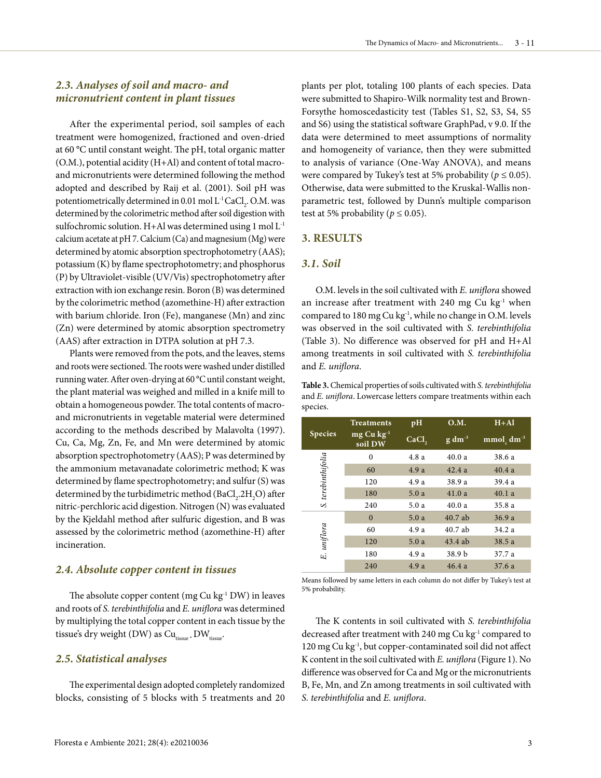# *2.3. Analyses of soil and macro- and micronutrient content in plant tissues*

After the experimental period, soil samples of each treatment were homogenized, fractioned and oven-dried at 60 °C until constant weight. The pH, total organic matter (O.M.), potential acidity (H+Al) and content of total macroand micronutrients were determined following the method adopted and described by Raij et al. (2001). Soil pH was potentiometrically determined in 0.01 mol  $\mathrm{L}^{\text{-}1}\mathrm{CaCl}_{2}$ . O.M. was determined by the colorimetric method after soil digestion with sulfochromic solution. H+Al was determined using 1 mol L-1 calcium acetate at pH 7. Calcium (Ca) and magnesium (Mg) were determined by atomic absorption spectrophotometry (AAS); potassium (K) by flame spectrophotometry; and phosphorus (P) by Ultraviolet-visible (UV/Vis) spectrophotometry after extraction with ion exchange resin. Boron (B) was determined by the colorimetric method (azomethine-H) after extraction with barium chloride. Iron (Fe), manganese (Mn) and zinc (Zn) were determined by atomic absorption spectrometry (AAS) after extraction in DTPA solution at pH 7.3.

Plants were removed from the pots, and the leaves, stems and roots were sectioned. The roots were washed under distilled running water. After oven-drying at 60 °C until constant weight, the plant material was weighed and milled in a knife mill to obtain a homogeneous powder. The total contents of macroand micronutrients in vegetable material were determined according to the methods described by Malavolta (1997). Cu, Ca, Mg, Zn, Fe, and Mn were determined by atomic absorption spectrophotometry (AAS); P was determined by the ammonium metavanadate colorimetric method; K was determined by flame spectrophotometry; and sulfur (S) was determined by the turbidimetric method  $\rm (BaCl_{2}.2H_{2}O)$  after nitric-perchloric acid digestion. Nitrogen (N) was evaluated by the Kjeldahl method after sulfuric digestion, and B was assessed by the colorimetric method (azomethine-H) after incineration.

### *2.4. Absolute copper content in tissues*

The absolute copper content (mg Cu  $kg<sup>-1</sup> DW$ ) in leaves and roots of *S. terebinthifolia* and *E. uniflora* was determined by multiplying the total copper content in each tissue by the tissue's dry weight (DW) as  $Cu<sub>tissue*</sub> + DW<sub>tissue</sub>$ .

### *2.5. Statistical analyses*

The experimental design adopted completely randomized blocks, consisting of 5 blocks with 5 treatments and 20 plants per plot, totaling 100 plants of each species. Data were submitted to Shapiro-Wilk normality test and Brown-Forsythe homoscedasticity test (Tables S1, S2, S3, S4, S5 and S6) using the statistical software GraphPad, v 9.0. If the data were determined to meet assumptions of normality and homogeneity of variance, then they were submitted to analysis of variance (One-Way ANOVA), and means were compared by Tukey's test at 5% probability ( $p \le 0.05$ ). Otherwise, data were submitted to the Kruskal-Wallis nonparametric test, followed by Dunn's multiple comparison test at 5% probability ( $p \le 0.05$ ).

### **3. RESULTS**

# *3.1. Soil*

O.M. levels in the soil cultivated with *E. uniflora* showed an increase after treatment with 240 mg Cu  $kg<sup>-1</sup>$  when compared to 180 mg Cu kg-1, while no change in O.M. levels was observed in the soil cultivated with *S. terebinthifolia* (Table 3). No difference was observed for pH and H+Al among treatments in soil cultivated with *S. terebinthifolia* and *E. uniflora*.

**Table 3.** Chemical properties of soils cultivated with *S. terebinthifolia* and *E. uniflora*. Lowercase letters compare treatments within each species.

|                    | <b>Treatments</b>       | pH                | <b>O.M.</b> | $H + Al$     |  |  |
|--------------------|-------------------------|-------------------|-------------|--------------|--|--|
| <b>Species</b>     | $mg Cu kg-1$<br>soil DW | CaCl <sub>2</sub> | $g dm^{-3}$ | $mmolc dm-3$ |  |  |
|                    | $\Omega$                | 4.8a              | 40.0a       | 38.6 a       |  |  |
| S. terebinthifolia | 60                      | 4.9a              | 42.4a       | 40.4a        |  |  |
|                    | 120                     | 4.9 a             | 38.9 a      | 39.4 a       |  |  |
|                    | 180                     | 5.0a              | 41.0a       | 40.1a        |  |  |
|                    | 240                     | 5.0a              | 40.0a       | 35.8 a       |  |  |
|                    | $\Omega$                | 5.0a              | $40.7$ ab   | 36.9a        |  |  |
|                    | 60                      | 4.9a              | $40.7$ ab   | 34.2 a       |  |  |
|                    | 120                     | 5.0a              | $43.4$ ab   | 38.5 a       |  |  |
| E. uniflora        | 180                     | 4.9a              | 38.9 b      | 37.7 a       |  |  |
|                    | 240                     | 4.9a              | 46.4a       | 37.6a        |  |  |

Means followed by same letters in each column do not differ by Tukey's test at 5% probability.

The K contents in soil cultivated with *S. terebinthifolia* decreased after treatment with 240 mg Cu kg<sup>-1</sup> compared to 120 mg Cu kg-1, but copper-contaminated soil did not affect K content in the soil cultivated with *E. uniflora* (Figure 1). No difference was observed for Ca and Mg or the micronutrients B, Fe, Mn, and Zn among treatments in soil cultivated with *S. terebinthifolia* and *E. uniflora*.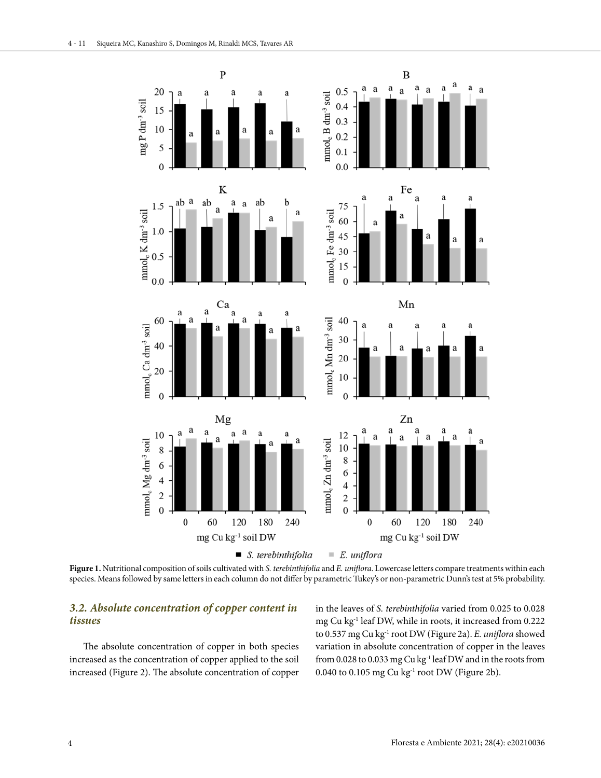

**Figure 1.** Nutritional composition of soils cultivated with *S. terebinthifolia* and *E. uniflora*. Lowercase letters compare treatments within each species. Means followed by same letters in each column do not differ by parametric Tukey's or non-parametric Dunn's test at 5% probability.

# *3.2. Absolute concentration of copper content in tissues*

The absolute concentration of copper in both species increased as the concentration of copper applied to the soil increased (Figure 2). The absolute concentration of copper in the leaves of *S. terebinthifolia* varied from 0.025 to 0.028 mg Cu kg-1 leaf DW, while in roots, it increased from 0.222 to 0.537 mg Cu kg-1 root DW (Figure 2a). *E. uniflora* showed variation in absolute concentration of copper in the leaves from 0.028 to 0.033 mg Cu kg<sup>-1</sup> leaf DW and in the roots from 0.040 to 0.105 mg Cu kg $^{-1}$  root DW (Figure 2b).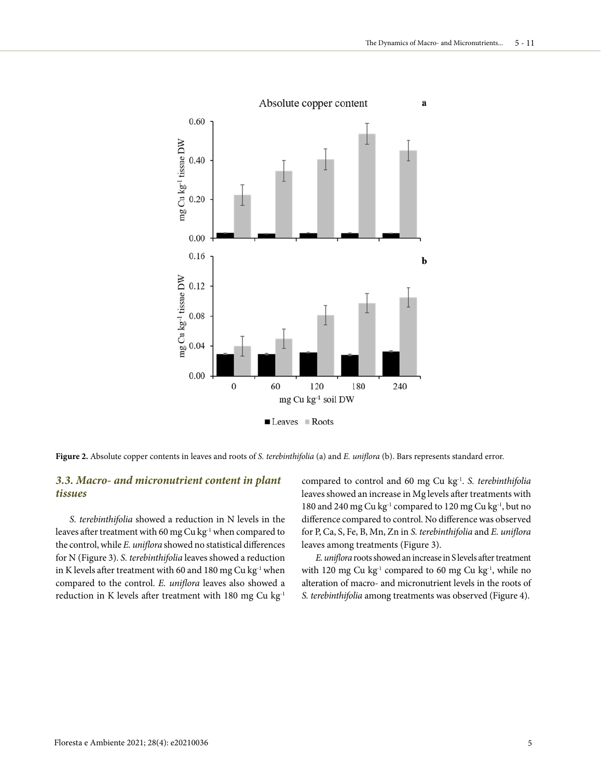

**Figure 2.** Absolute copper contents in leaves and roots of *S. terebinthifolia* (a) and *E. uniflora* (b). Bars represents standard error.

# *3.3. Macro- and micronutrient content in plant tissues*

*S. terebinthifolia* showed a reduction in N levels in the leaves after treatment with 60 mg Cu kg<sup>-1</sup> when compared to the control, while *E. uniflora* showed no statistical differences for N (Figure 3). *S. terebinthifolia* leaves showed a reduction in K levels after treatment with 60 and 180 mg Cu kg $^{-1}$  when compared to the control. *E. uniflora* leaves also showed a reduction in K levels after treatment with 180 mg Cu kg-1

compared to control and 60 mg Cu kg-1. *S. terebinthifolia* leaves showed an increase in Mg levels after treatments with 180 and 240 mg Cu kg-1 compared to 120 mg Cu kg-1, but no difference compared to control. No difference was observed for P, Ca, S, Fe, B, Mn, Zn in *S. terebinthifolia* and *E. uniflora* leaves among treatments (Figure 3).

*E. uniflora* roots showed an increase in S levels after treatment with 120 mg Cu kg $^{-1}$  compared to 60 mg Cu kg $^{-1}$ , while no alteration of macro- and micronutrient levels in the roots of *S. terebinthifolia* among treatments was observed (Figure 4).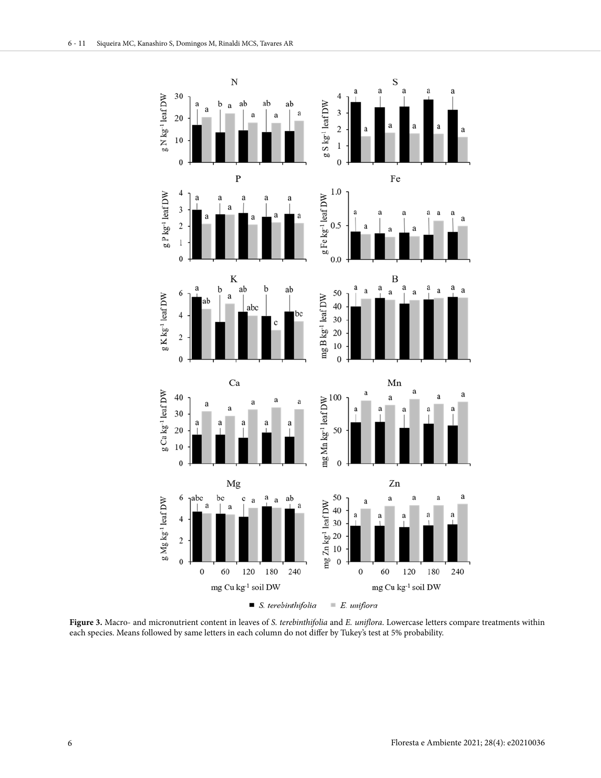

**Figure 3.** Macro- and micronutrient content in leaves of *S. terebinthifolia* and *E. uniflora*. Lowercase letters compare treatments within each species. Means followed by same letters in each column do not differ by Tukey's test at 5% probability.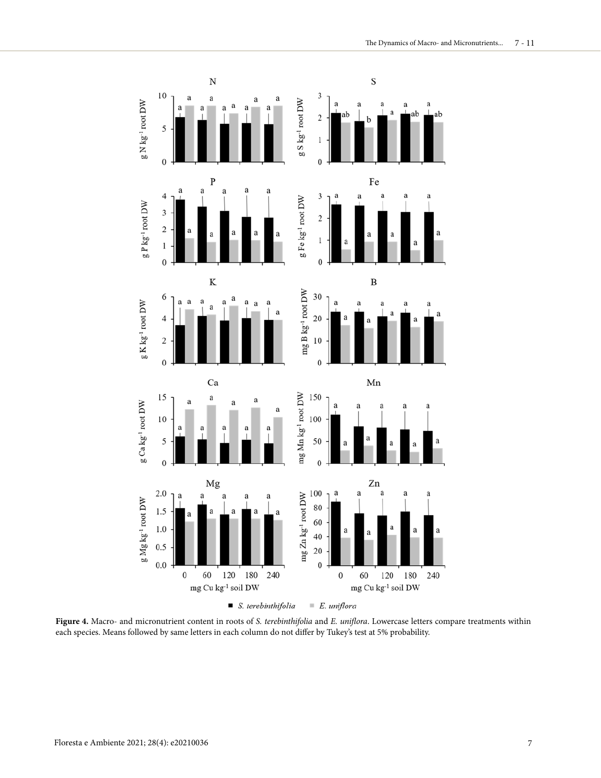

**Figure 4.** Macro- and micronutrient content in roots of *S. terebinthifolia* and *E. uniflora*. Lowercase letters compare treatments within each species. Means followed by same letters in each column do not differ by Tukey's test at 5% probability.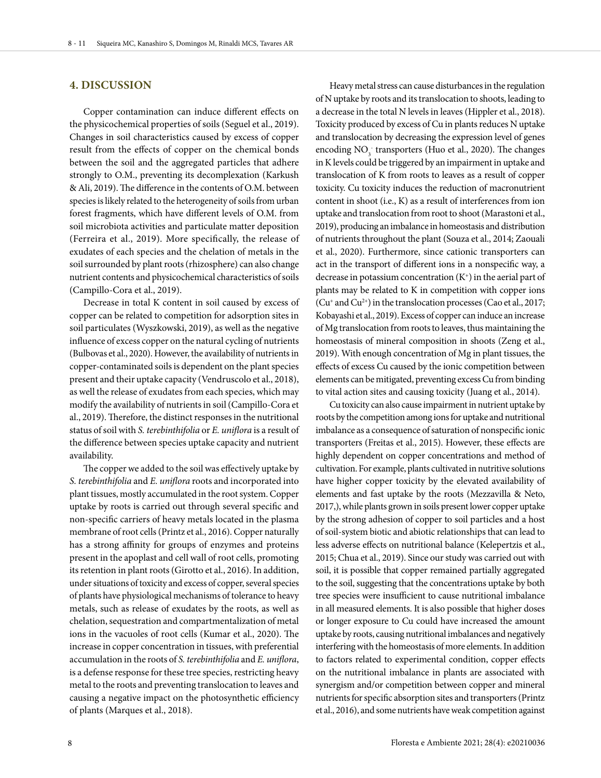# **4. DISCUSSION**

Copper contamination can induce different effects on the physicochemical properties of soils (Seguel et al., 2019). Changes in soil characteristics caused by excess of copper result from the effects of copper on the chemical bonds between the soil and the aggregated particles that adhere strongly to O.M., preventing its decomplexation (Karkush & Ali, 2019). The difference in the contents of O.M. between species is likely related to the heterogeneity of soils from urban forest fragments, which have different levels of O.M. from soil microbiota activities and particulate matter deposition (Ferreira et al., 2019). More specifically, the release of exudates of each species and the chelation of metals in the soil surrounded by plant roots (rhizosphere) can also change nutrient contents and physicochemical characteristics of soils (Campillo-Cora et al., 2019).

Decrease in total K content in soil caused by excess of copper can be related to competition for adsorption sites in soil particulates (Wyszkowski, 2019), as well as the negative influence of excess copper on the natural cycling of nutrients (Bulbovas et al., 2020). However, the availability of nutrients in copper-contaminated soils is dependent on the plant species present and their uptake capacity (Vendruscolo et al., 2018), as well the release of exudates from each species, which may modify the availability of nutrients in soil (Campillo-Cora et al., 2019). Therefore, the distinct responses in the nutritional status of soil with *S. terebinthifolia* or *E. uniflora* is a result of the difference between species uptake capacity and nutrient availability.

The copper we added to the soil was effectively uptake by *S. terebinthifolia* and *E. uniflora* roots and incorporated into plant tissues, mostly accumulated in the root system. Copper uptake by roots is carried out through several specific and non-specific carriers of heavy metals located in the plasma membrane of root cells (Printz et al., 2016). Copper naturally has a strong affinity for groups of enzymes and proteins present in the apoplast and cell wall of root cells, promoting its retention in plant roots (Girotto et al., 2016). In addition, under situations of toxicity and excess of copper, several species of plants have physiological mechanisms of tolerance to heavy metals, such as release of exudates by the roots, as well as chelation, sequestration and compartmentalization of metal ions in the vacuoles of root cells (Kumar et al., 2020). The increase in copper concentration in tissues, with preferential accumulation in the roots of *S. terebinthifolia* and *E. uniflora*, is a defense response for these tree species, restricting heavy metal to the roots and preventing translocation to leaves and causing a negative impact on the photosynthetic efficiency of plants (Marques et al., 2018).

Heavy metal stress can cause disturbances in the regulation of N uptake by roots and its translocation to shoots, leading to a decrease in the total N levels in leaves (Hippler et al., 2018). Toxicity produced by excess of Cu in plants reduces N uptake and translocation by decreasing the expression level of genes encoding NO<sub>3</sub> transporters (Huo et al., 2020). The changes in K levels could be triggered by an impairment in uptake and translocation of K from roots to leaves as a result of copper toxicity. Cu toxicity induces the reduction of macronutrient content in shoot (i.e., K) as a result of interferences from ion uptake and translocation from root to shoot (Marastoni et al., 2019), producing an imbalance in homeostasis and distribution of nutrients throughout the plant (Souza et al., 2014; Zaouali et al., 2020). Furthermore, since cationic transporters can act in the transport of different ions in a nonspecific way, a decrease in potassium concentration  $(K^+)$  in the aerial part of plants may be related to K in competition with copper ions  $(Cu^+$  and  $Cu^{2+}$ ) in the translocation processes (Cao et al., 2017; Kobayashi et al., 2019). Excess of copper can induce an increase of Mg translocation from roots to leaves, thus maintaining the homeostasis of mineral composition in shoots (Zeng et al., 2019). With enough concentration of Mg in plant tissues, the effects of excess Cu caused by the ionic competition between elements can be mitigated, preventing excess Cu from binding to vital action sites and causing toxicity (Juang et al., 2014).

Cu toxicity can also cause impairment in nutrient uptake by roots by the competition among ions for uptake and nutritional imbalance as a consequence of saturation of nonspecific ionic transporters (Freitas et al., 2015). However, these effects are highly dependent on copper concentrations and method of cultivation. For example, plants cultivated in nutritive solutions have higher copper toxicity by the elevated availability of elements and fast uptake by the roots (Mezzavilla & Neto, 2017,), while plants grown in soils present lower copper uptake by the strong adhesion of copper to soil particles and a host of soil-system biotic and abiotic relationships that can lead to less adverse effects on nutritional balance (Kelepertzis et al., 2015; Chua et al., 2019). Since our study was carried out with soil, it is possible that copper remained partially aggregated to the soil, suggesting that the concentrations uptake by both tree species were insufficient to cause nutritional imbalance in all measured elements. It is also possible that higher doses or longer exposure to Cu could have increased the amount uptake by roots, causing nutritional imbalances and negatively interfering with the homeostasis of more elements. In addition to factors related to experimental condition, copper effects on the nutritional imbalance in plants are associated with synergism and/or competition between copper and mineral nutrients for specific absorption sites and transporters (Printz et al., 2016), and some nutrients have weak competition against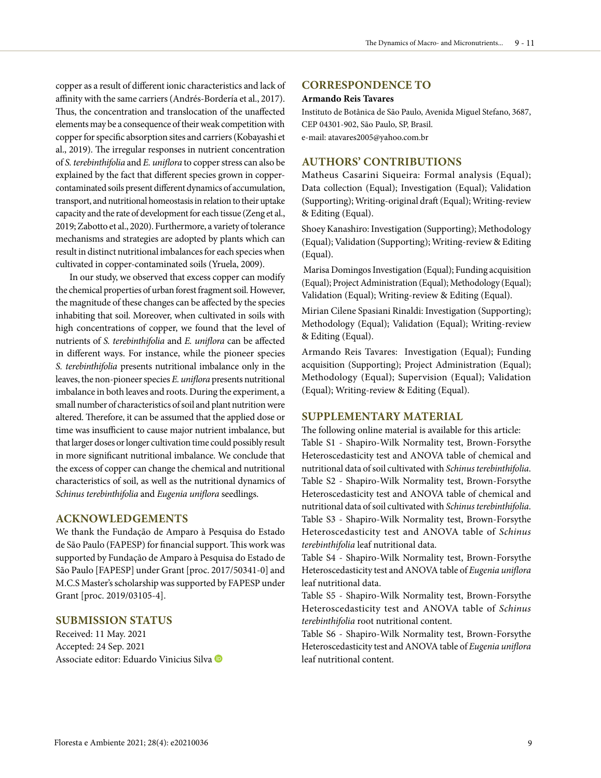copper as a result of different ionic characteristics and lack of affinity with the same carriers (Andrés-Bordería et al., 2017). Thus, the concentration and translocation of the unaffected elements may be a consequence of their weak competition with copper for specific absorption sites and carriers (Kobayashi et al., 2019). The irregular responses in nutrient concentration of *S. terebinthifolia* and *E. uniflora* to copper stress can also be explained by the fact that different species grown in coppercontaminated soils present different dynamics of accumulation, transport, and nutritional homeostasis in relation to their uptake capacity and the rate of development for each tissue (Zeng et al., 2019; Zabotto et al., 2020). Furthermore, a variety of tolerance mechanisms and strategies are adopted by plants which can result in distinct nutritional imbalances for each species when cultivated in copper-contaminated soils (Yruela, 2009).

In our study, we observed that excess copper can modify the chemical properties of urban forest fragment soil. However, the magnitude of these changes can be affected by the species inhabiting that soil. Moreover, when cultivated in soils with high concentrations of copper, we found that the level of nutrients of *S. terebinthifolia* and *E. uniflora* can be affected in different ways. For instance, while the pioneer species *S. terebinthifolia* presents nutritional imbalance only in the leaves, the non-pioneer species *E. uniflora* presents nutritional imbalance in both leaves and roots. During the experiment, a small number of characteristics of soil and plant nutrition were altered. Therefore, it can be assumed that the applied dose or time was insufficient to cause major nutrient imbalance, but that larger doses or longer cultivation time could possibly result in more significant nutritional imbalance. We conclude that the excess of copper can change the chemical and nutritional characteristics of soil, as well as the nutritional dynamics of *Schinus terebinthifolia* and *Eugenia uniflora* seedlings.

### **ACKNOWLEDGEMENTS**

We thank the Fundação de Amparo à Pesquisa do Estado de São Paulo (FAPESP) for financial support. This work was supported by Fundação de Amparo à Pesquisa do Estado de São Paulo [FAPESP] under Grant [proc. 2017/50341-0] and M.C.S Master's scholarship was supported by FAPESP under Grant [proc. 2019/03105-4].

### **SUBMISSION STATUS**

Received: 11 May. 2021 Accepted: 24 Sep. 2021 Associate editor: Eduardo Vinicius Silva

### **CORRESPONDENCE TO**

#### **Armando Reis Tavares**

Instituto de Botânica de São Paulo, Avenida Miguel Stefano, 3687, CEP 04301-902, São Paulo, SP, Brasil. e-mail: atavares2005@yahoo.com.br

# **AUTHORS' CONTRIBUTIONS**

Matheus Casarini Siqueira: Formal analysis (Equal); Data collection (Equal); Investigation (Equal); Validation (Supporting); Writing-original draft (Equal); Writing-review & Editing (Equal).

Shoey Kanashiro: Investigation (Supporting); Methodology (Equal); Validation (Supporting); Writing-review & Editing (Equal).

 Marisa Domingos Investigation (Equal); Funding acquisition (Equal); Project Administration (Equal); Methodology (Equal); Validation (Equal); Writing-review & Editing (Equal).

Mirian Cilene Spasiani Rinaldi: Investigation (Supporting); Methodology (Equal); Validation (Equal); Writing-review & Editing (Equal).

Armando Reis Tavares: Investigation (Equal); Funding acquisition (Supporting); Project Administration (Equal); Methodology (Equal); Supervision (Equal); Validation (Equal); Writing-review & Editing (Equal).

### **SUPPLEMENTARY MATERIAL**

The following online material is available for this article: [Table S1 - Shapiro-Wilk Normality test, Brown-Forsythe](https://www.scielo.br/pdf/floram/v28n4/2179-8087-floram-28-04-e20210036-suppl1.pdf)  Heteroscedasticity test and ANOVA table of chemical and nutritional data of soil cultivated with *Schinus terebinthifolia*. Table S2 - Shapiro-Wilk Normality test, Brown-Forsythe [Heteroscedasticity test and ANOVA table of chemical and](https://www.scielo.br/pdf/floram/v28n4/2179-8087-floram-28-04-e20210036-suppl2.pdf)  nutritional data of soil cultivated with *Schinus terebinthifolia*. [Table S3 - Shapiro-Wilk Normality test, Brown-Forsythe](https://www.scielo.br/pdf/floram/v28n4/2179-8087-floram-28-04-e20210036-suppl3.pdf)  Heteroscedasticity test and ANOVA table of *Schinus terebinthifolia* leaf nutritional data.

[Table S4 - Shapiro-Wilk Normality test, Brown-Forsythe](https://www.scielo.br/pdf/floram/v28n4/2179-8087-floram-28-04-e20210036-suppl4.pdf)  Heteroscedasticity test and ANOVA table of *Eugenia uniflora*  leaf nutritional data.

[Table S5 - Shapiro-Wilk Normality test, Brown-Forsythe](https://www.scielo.br/pdf/floram/v28n4/2179-8087-floram-28-04-e20210036-suppl5.pdf)  Heteroscedasticity test and ANOVA table of *Schinus terebinthifolia* root nutritional content.

[Table S6 - Shapiro-Wilk Normality test, Brown-Forsythe](https://www.scielo.br/pdf/floram/v28n4/2179-8087-floram-28-04-e20210036-suppl6.pdf)  Heteroscedasticity test and ANOVA table of *Eugenia uniflora*  leaf nutritional content.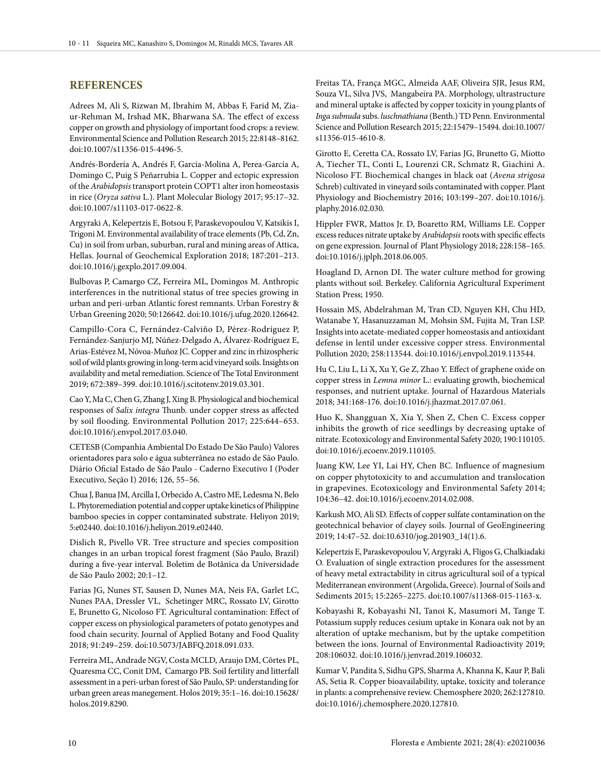### **REFERENCES**

Adrees M, Ali S, Rizwan M, Ibrahim M, Abbas F, Farid M, Ziaur-Rehman M, Irshad MK, Bharwana SA. The effect of excess copper on growth and physiology of important food crops: a review. Environmental Science and Pollution Research 2015; 22:8148–8162. doi:10.1007/s11356-015-4496-5.

Andrés-Bordería A, Andrés F, Garcia-Molina A, Perea-García A, Domingo C, Puig S Peñarrubia L. Copper and ectopic expression of the *Arabidopsis* transport protein COPT1 alter iron homeostasis in rice (*Oryza sativa* L.). Plant Molecular Biology 2017; 95:17–32. doi:10.1007/s11103-017-0622-8.

Argyraki A, Kelepertzis E, Botsou F, Paraskevopoulou V, Katsikis I, Trigoni M. Environmental availability of trace elements (Pb, Cd, Zn, Cu) in soil from urban, suburban, rural and mining areas of Attica, Hellas. Journal of Geochemical Exploration 2018; 187:201–213. doi:10.1016/j.gexplo.2017.09.004.

Bulbovas P, Camargo CZ, Ferreira ML, Domingos M. Anthropic interferences in the nutritional status of tree species growing in urban and peri-urban Atlantic forest remnants. Urban Forestry & Urban Greening 2020; 50:126642. doi:10.1016/j.ufug.2020.126642.

Campillo-Cora C, Fernández-Calviño D, Pérez-Rodríguez P, Fernández-Sanjurjo MJ, Núñez-Delgado A, Álvarez-Rodríguez E, Arias-Estévez M, Nóvoa-Muñoz JC. Copper and zinc in rhizospheric soil of wild plants growing in long-term acid vineyard soils. Insights on availability and metal remediation. Science of The Total Environment 2019; 672:389–399. doi:10.1016/j.scitotenv.2019.03.301.

Cao Y, Ma C, Chen G, Zhang J, Xing B. Physiological and biochemical responses of *Salix integra* Thunb. under copper stress as affected by soil flooding. Environmental Pollution 2017; 225:644–653. doi:10.1016/j.envpol.2017.03.040.

CETESB (Companhia Ambiental Do Estado De São Paulo) Valores orientadores para solo e água subterrânea no estado de São Paulo. Diário Oficial Estado de São Paulo - Caderno Executivo I (Poder Executivo, Seção I) 2016; 126, 55–56.

Chua J, Banua JM, Arcilla I, Orbecido A, Castro ME, Ledesma N, Belo L. Phytoremediation potential and copper uptake kinetics of Philippine bamboo species in copper contaminated substrate. Heliyon 2019; 5:e02440. doi:10.1016/j.heliyon.2019.e02440.

Dislich R, Pivello VR. Tree structure and species composition changes in an urban tropical forest fragment (São Paulo, Brazil) during a five-year interval. Boletim de Botânica da Universidade de São Paulo 2002; 20:1–12.

Farias JG, Nunes ST, Sausen D, Nunes MA, Neis FA, Garlet LC, Nunes PAA, Dressler VL, Schetinger MRC, Rossato LV, Girotto E, Brunetto G, Nicoloso FT. Agricultural contamination: Effect of copper excess on physiological parameters of potato genotypes and food chain security. Journal of Applied Botany and Food Quality 2018; 91:249–259. doi:10.5073/JABFQ.2018.091.033.

Ferreira ML, Andrade NGV, Costa MCLD, Araujo DM, Côrtes PL, Quaresma CC, Conit DM, Camargo PB. Soil fertility and litterfall assessment in a peri-urban forest of São Paulo, SP: understanding for urban green areas manegement. Holos 2019; 35:1–16. doi:10.15628/ holos.2019.8290.

Freitas TA, França MGC, Almeida AAF, Oliveira SJR, Jesus RM, Souza VL, Silva JVS, Mangabeira PA. Morphology, ultrastructure and mineral uptake is affected by copper toxicity in young plants of *Inga subnuda* subs. *luschnathiana* (Benth.) TD Penn. Environmental Science and Pollution Research 2015; 22:15479–15494. doi:10.1007/ s11356-015-4610-8.

Girotto E, Ceretta CA, Rossato LV, Farias JG, Brunetto G, Miotto A, Tiecher TL, Conti L, Lourenzi CR, Schmatz R, Giachini A. Nicoloso FT. Biochemical changes in black oat (*Avena strigosa* Schreb) cultivated in vineyard soils contaminated with copper. Plant Physiology and Biochemistry 2016; 103:199–207. doi:10.1016/j. plaphy.2016.02.030.

Hippler FWR, Mattos Jr. D, Boaretto RM, Williams LE. Copper excess reduces nitrate uptake by *Arabidopsis* roots with specific effects on gene expression. Journal of Plant Physiology 2018; 228:158–165. doi:10.1016/j.jplph.2018.06.005.

Hoagland D, Arnon DI. The water culture method for growing plants without soil. Berkeley. California Agricultural Experiment Station Press; 1950.

Hossain MS, Abdelrahman M, Tran CD, Nguyen KH, Chu HD, Watanabe Y, Hasanuzzaman M, Mohsin SM, Fujita M, Tran LSP. Insights into acetate-mediated copper homeostasis and antioxidant defense in lentil under excessive copper stress. Environmental Pollution 2020; 258:113544. doi:10.1016/j.envpol.2019.113544.

Hu C, Liu L, Li X, Xu Y, Ge Z, Zhao Y. Effect of graphene oxide on copper stress in *Lemna minor* L.: evaluating growth, biochemical responses, and nutrient uptake. Journal of Hazardous Materials 2018; 341:168-176. doi:10.1016/j.jhazmat.2017.07.061.

Huo K, Shangguan X, Xia Y, Shen Z, Chen C. Excess copper inhibits the growth of rice seedlings by decreasing uptake of nitrate. Ecotoxicology and Environmental Safety 2020; 190:110105. doi:10.1016/j.ecoenv.2019.110105.

Juang KW, Lee YI, Lai HY, Chen BC. Influence of magnesium on copper phytotoxicity to and accumulation and translocation in grapevines. Ecotoxicology and Environmental Safety 2014; 104:36–42. doi:10.1016/j.ecoenv.2014.02.008.

Karkush MO, Ali SD. Effects of copper sulfate contamination on the geotechnical behavior of clayey soils. Journal of GeoEngineering 2019; 14:47–52. doi:10.6310/jog.201903\_14(1).6.

Kelepertzis E, Paraskevopoulou V, Argyraki A, Fligos G, Chalkiadaki O. Evaluation of single extraction procedures for the assessment of heavy metal extractability in citrus agricultural soil of a typical Mediterranean environment (Argolida, Greece). Journal of Soils and Sediments 2015; 15:2265–2275. doi:10.1007/s11368-015-1163-x.

Kobayashi R, Kobayashi NI, Tanoi K, Masumori M, Tange T. Potassium supply reduces cesium uptake in Konara oak not by an alteration of uptake mechanism, but by the uptake competition between the ions. Journal of Environmental Radioactivity 2019; 208:106032. doi:10.1016/j.jenvrad.2019.106032.

Kumar V, Pandita S, Sidhu GPS, Sharma A, Khanna K, Kaur P, Bali AS, Setia R. Copper bioavailability, uptake, toxicity and tolerance in plants: a comprehensive review. Chemosphere 2020; 262:127810. doi:10.1016/j.chemosphere.2020.127810.